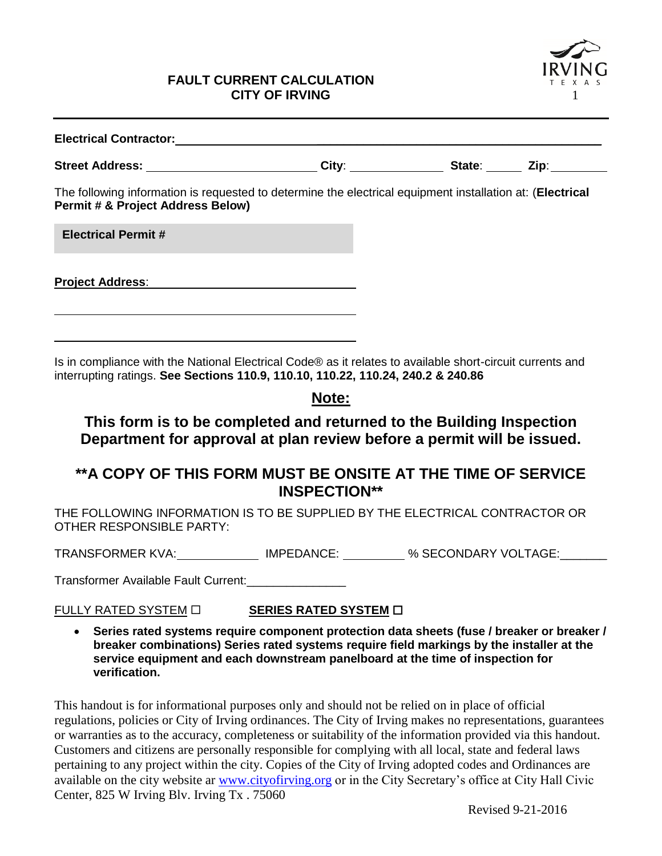#### **FAULT CURRENT CALCULATION CITY OF IRVING**



| Electrical Contractor: _________________________                                                                                                                                              |  |  |
|-----------------------------------------------------------------------------------------------------------------------------------------------------------------------------------------------|--|--|
| Street Address: ___________________________City: ________________State: _______ Zip:_______________                                                                                           |  |  |
| The following information is requested to determine the electrical equipment installation at: (Electrical<br><b>Permit # &amp; Project Address Below)</b>                                     |  |  |
| <b>Electrical Permit #</b>                                                                                                                                                                    |  |  |
| <b>Project Address:</b>                                                                                                                                                                       |  |  |
|                                                                                                                                                                                               |  |  |
| Is in compliance with the National Electrical Code® as it relates to available short-circuit currents and<br>interrupting ratings. See Sections 110.9, 110.10, 110.22, 110.24, 240.2 & 240.86 |  |  |

## **Note:**

## **This form is to be completed and returned to the Building Inspection Department for approval at plan review before a permit will be issued.**

## **\*\*A COPY OF THIS FORM MUST BE ONSITE AT THE TIME OF SERVICE INSPECTION\*\***

THE FOLLOWING INFORMATION IS TO BE SUPPLIED BY THE ELECTRICAL CONTRACTOR OR OTHER RESPONSIBLE PARTY:

TRANSFORMER KVA: IMPEDANCE: % SECONDARY VOLTAGE:

Transformer Available Fault Current:\_\_\_\_\_\_\_\_\_\_\_\_\_\_\_

FULLY RATED SYSTEM **SERIES RATED SYSTEM**

 **Series rated systems require component protection data sheets (fuse / breaker or breaker / breaker combinations) Series rated systems require field markings by the installer at the service equipment and each downstream panelboard at the time of inspection for verification.**

This handout is for informational purposes only and should not be relied on in place of official regulations, policies or City of Irving ordinances. The City of Irving makes no representations, guarantees or warranties as to the accuracy, completeness or suitability of the information provided via this handout. Customers and citizens are personally responsible for complying with all local, state and federal laws pertaining to any project within the city. Copies of the City of Irving adopted codes and Ordinances are available on the city website ar [www.cityofirving.org](http://www.cityofirving.org/) or in the City Secretary's office at City Hall Civic Center, 825 W Irving Blv. Irving Tx . 75060

Revised 9-21-2016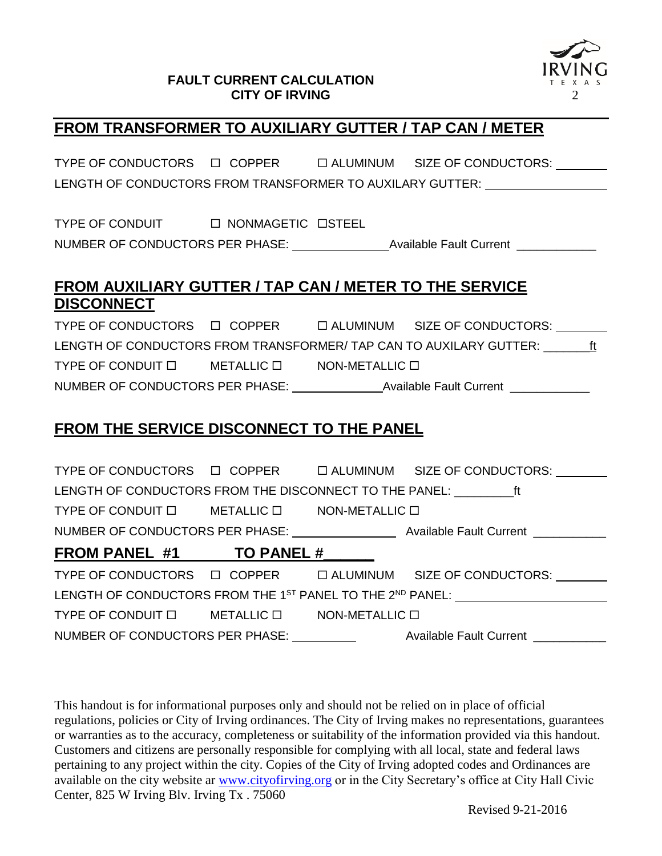#### **FAULT CURRENT CALCULATION CITY OF IRVING** 2



## **FROM TRANSFORMER TO AUXILIARY GUTTER / TAP CAN / METER**

TYPE OF CONDUCTORS  $\Box$  COPPER  $\Box$  ALUMINUM SIZE OF CONDUCTORS: LENGTH OF CONDUCTORS FROM TRANSFORMER TO AUXILARY GUTTER:

TYPE OF CONDUIT  $\Box$  NONMAGETIC  $\Box$ STEEL NUMBER OF CONDUCTORS PER PHASE: Available Fault Current \_\_\_\_\_\_\_\_\_\_\_

## **FROM AUXILIARY GUTTER / TAP CAN / METER TO THE SERVICE DISCONNECT**

TYPE OF CONDUCTORS  $\Box$  COPPER  $\Box$  ALUMINUM SIZE OF CONDUCTORS: LENGTH OF CONDUCTORS FROM TRANSFORMER/ TAP CAN TO AUXILARY GUTTER: \_\_\_\_\_\_\_\_ft TYPE OF CONDUIT  $\Box$  METALLIC  $\Box$  NON-METALLIC  $\Box$ NUMBER OF CONDUCTORS PER PHASE: Available Fault Current \_\_\_\_\_\_\_\_\_\_\_\_

# **FROM THE SERVICE DISCONNECT TO THE PANEL**

|                                                                                   |  |  | TYPE OF CONDUCTORS $\Box$ COPPER $\Box$ ALUMINUM SIZE OF CONDUCTORS: |  |
|-----------------------------------------------------------------------------------|--|--|----------------------------------------------------------------------|--|
| LENGTH OF CONDUCTORS FROM THE DISCONNECT TO THE PANEL: ft                         |  |  |                                                                      |  |
| TYPE OF CONDUIT $\square$ METALLIC $\square$ NON-METALLIC $\square$               |  |  |                                                                      |  |
|                                                                                   |  |  |                                                                      |  |
| FROM PANEL #1 TO PANEL #                                                          |  |  |                                                                      |  |
|                                                                                   |  |  | TYPE OF CONDUCTORS $\Box$ COPPER $\Box$ ALUMINUM SIZE OF CONDUCTORS: |  |
| LENGTH OF CONDUCTORS FROM THE 1 <sup>ST</sup> PANEL TO THE 2 <sup>ND</sup> PANEL: |  |  |                                                                      |  |
| TYPE OF CONDUIT $\square$ METALLIC $\square$ NON-METALLIC $\square$               |  |  |                                                                      |  |
| NUMBER OF CONDUCTORS PER PHASE:                                                   |  |  | Available Fault Current _________                                    |  |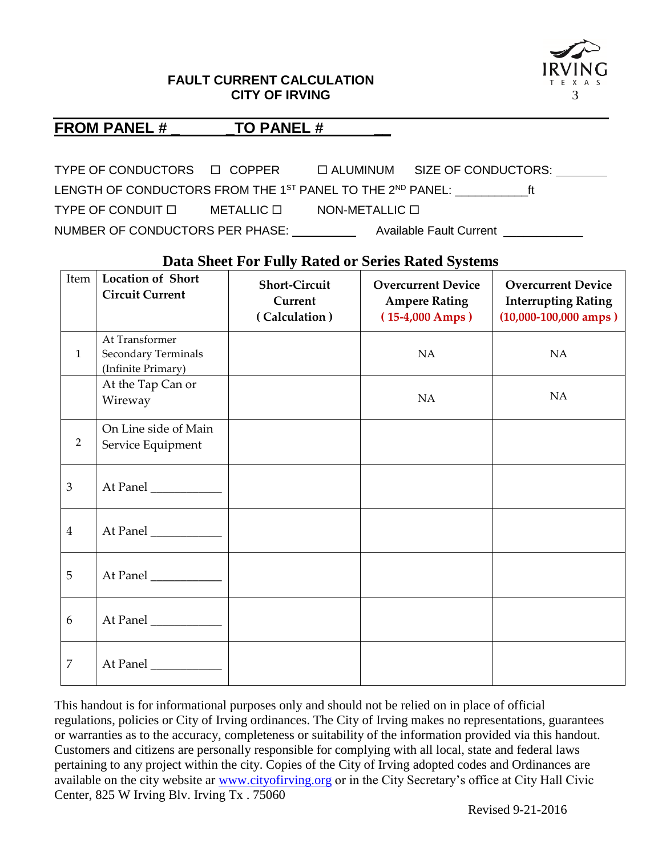#### **FAULT CURRENT CALCULATION CITY OF IRVING** 3



#### FROM PANEL #  $TO$  PANEL #

TYPE OF CONDUCTORS  $\Box$  COPPER  $\Box$  ALUMINUM SIZE OF CONDUCTORS: LENGTH OF CONDUCTORS FROM THE 1<sup>ST</sup> PANEL TO THE 2<sup>ND</sup> PANEL: **FILL** TYPE OF CONDUIT  $\Box$  METALLIC  $\Box$  NON-METALLIC  $\Box$ NUMBER OF CONDUCTORS PER PHASE: Available Fault Current **Auchen** 

### **Data Sheet For Fully Rated or Series Rated Systems**

| Item           | <b>Location of Short</b><br><b>Circuit Current</b>          | <b>Short-Circuit</b><br>Current<br>(Calculation) | <b>Overcurrent Device</b><br><b>Ampere Rating</b><br>$(15-4,000 \, \text{Amps})$ | <b>Overcurrent Device</b><br><b>Interrupting Rating</b><br>$(10,000 - 100,000$ amps) |
|----------------|-------------------------------------------------------------|--------------------------------------------------|----------------------------------------------------------------------------------|--------------------------------------------------------------------------------------|
| $\mathbf{1}$   | At Transformer<br>Secondary Terminals<br>(Infinite Primary) |                                                  | NA                                                                               | NA                                                                                   |
|                | At the Tap Can or<br>Wireway                                |                                                  | NA                                                                               | NA                                                                                   |
| 2              | On Line side of Main<br>Service Equipment                   |                                                  |                                                                                  |                                                                                      |
| $\mathfrak{Z}$ | At Panel                                                    |                                                  |                                                                                  |                                                                                      |
| $\overline{4}$ | At Panel                                                    |                                                  |                                                                                  |                                                                                      |
| 5              | At Panel                                                    |                                                  |                                                                                  |                                                                                      |
| 6              | At Panel                                                    |                                                  |                                                                                  |                                                                                      |
| $\overline{7}$ | At Panel ___________                                        |                                                  |                                                                                  |                                                                                      |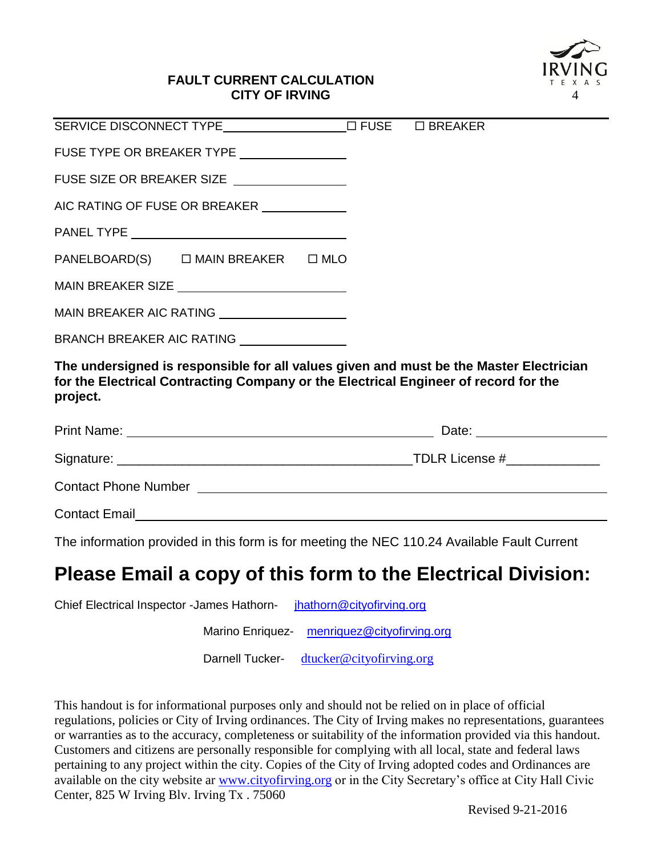

#### **FAULT CURRENT CALCULATION CITY OF IRVING**

| FUSE TYPE OR BREAKER TYPE _______________                                                                                                                                                 |  |  |  |  |
|-------------------------------------------------------------------------------------------------------------------------------------------------------------------------------------------|--|--|--|--|
| FUSE SIZE OR BREAKER SIZE ________________                                                                                                                                                |  |  |  |  |
|                                                                                                                                                                                           |  |  |  |  |
|                                                                                                                                                                                           |  |  |  |  |
| PANELBOARD(S) □ MAIN BREAKER □ MLO                                                                                                                                                        |  |  |  |  |
|                                                                                                                                                                                           |  |  |  |  |
| MAIN BREAKER AIC RATING _____________________                                                                                                                                             |  |  |  |  |
| BRANCH BREAKER AIC RATING _______________                                                                                                                                                 |  |  |  |  |
| The undersigned is responsible for all values given and must be the Master Electrician<br>for the Electrical Contracting Company or the Electrical Engineer of record for the<br>project. |  |  |  |  |
|                                                                                                                                                                                           |  |  |  |  |
|                                                                                                                                                                                           |  |  |  |  |
|                                                                                                                                                                                           |  |  |  |  |
| <b>Contact Email</b>                                                                                                                                                                      |  |  |  |  |

The information provided in this form is for meeting the NEC 110.24 Available Fault Current

# **Please Email a copy of this form to the Electrical Division:**

Chief Electrical Inspector -James Hathorn- [jhathorn@cityofirving.org](mailto:jhathorn@cityofirving.org)

Marino Enriquez- [menriquez@cityofirving.org](mailto:menriquez@cityofirving.org)

Darnell Tucker- [dtucker@cityofirving.org](mailto:dtucker@cityofirving.org)

This handout is for informational purposes only and should not be relied on in place of official regulations, policies or City of Irving ordinances. The City of Irving makes no representations, guarantees or warranties as to the accuracy, completeness or suitability of the information provided via this handout. Customers and citizens are personally responsible for complying with all local, state and federal laws pertaining to any project within the city. Copies of the City of Irving adopted codes and Ordinances are available on the city website ar [www.cityofirving.org](http://www.cityofirving.org/) or in the City Secretary's office at City Hall Civic Center, 825 W Irving Blv. Irving Tx . 75060

Revised 9-21-2016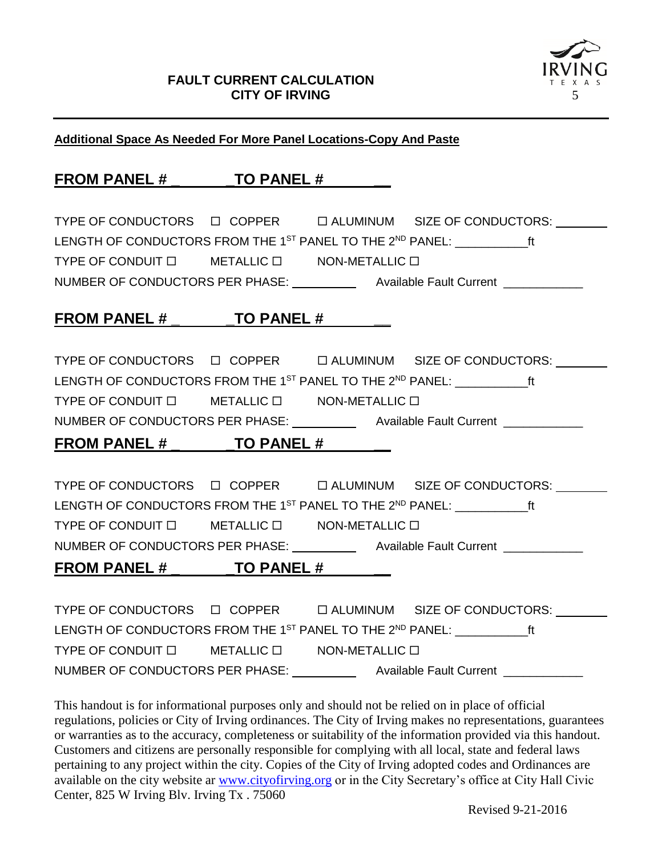

#### **Additional Space As Needed For More Panel Locations-Copy And Paste**

# **FROM PANEL # \_ \_TO PANEL # \_\_**

TYPE OF CONDUCTORS  $\Box$  COPPER  $\Box$  ALUMINUM SIZE OF CONDUCTORS: LENGTH OF CONDUCTORS FROM THE 1<sup>ST</sup> PANEL TO THE 2<sup>ND</sup> PANEL: **FILL** TYPE OF CONDUIT  $\Box$  METALLIC  $\Box$  NON-METALLIC  $\Box$ NUMBER OF CONDUCTORS PER PHASE: \_\_\_\_\_\_\_\_\_\_\_\_\_ Available Fault Current \_\_\_\_\_\_\_\_\_\_

## **FROM PANEL # \_ \_TO PANEL # \_\_**

TYPE OF CONDUCTORS  $\Box$  COPPER  $\Box$  ALUMINUM SIZE OF CONDUCTORS: LENGTH OF CONDUCTORS FROM THE 1<sup>ST</sup> PANEL TO THE 2<sup>ND</sup> PANEL: **FILL CONDUCTORS** FROM THE 1<sup>ST</sup> PANEL PANEL: TYPE OF CONDUIT  $\Box$  METALLIC  $\Box$  NON-METALLIC  $\Box$ NUMBER OF CONDUCTORS PER PHASE: Available Fault Current

## **FROM PANEL # \_ \_TO PANEL # \_\_**

TYPE OF CONDUCTORS  $\Box$  COPPER  $\Box$  ALUMINUM SIZE OF CONDUCTORS: LENGTH OF CONDUCTORS FROM THE 1<sup>ST</sup> PANEL TO THE 2<sup>ND</sup> PANEL: **FILL CONDUCTORS** FROM THE 1<sup>ST</sup> PANEL PANEL: TYPE OF CONDUIT  $\Box$  METALLIC  $\Box$  NON-METALLIC  $\Box$ NUMBER OF CONDUCTORS PER PHASE: \_\_\_\_\_\_\_\_\_\_\_\_ Available Fault Current \_\_\_\_\_\_\_\_\_\_\_ **FROM PANEL # TO PANEL #** 

TYPE OF CONDUCTORS  $\Box$  COPPER  $\Box$  ALUMINUM SIZE OF CONDUCTORS: LENGTH OF CONDUCTORS FROM THE 1<sup>ST</sup> PANEL TO THE 2<sup>ND</sup> PANEL: **FRAMEL** 1 TYPE OF CONDUIT  $\Box$  METALLIC  $\Box$  NON-METALLIC  $\Box$ NUMBER OF CONDUCTORS PER PHASE: \_\_\_\_\_\_\_\_\_\_\_\_ Available Fault Current \_\_\_\_\_\_\_\_\_\_\_